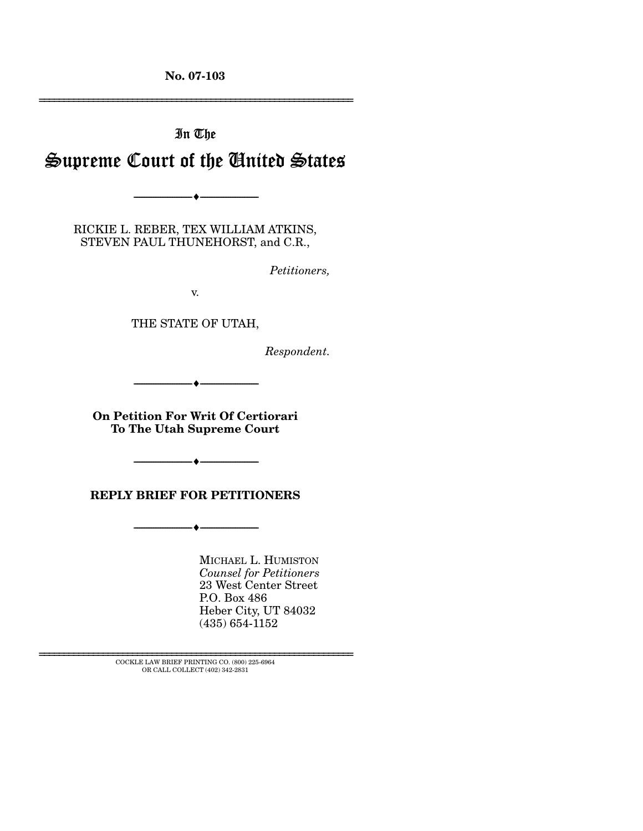**No. 07-103** 

================================================================

# In The Supreme Court of the United States

RICKIE L. REBER, TEX WILLIAM ATKINS, STEVEN PAUL THUNEHORST, and C.R.,

--------------------------------- ♦ ---------------------------------

*Petitioners,* 

v.

THE STATE OF UTAH,

*Respondent.* 

--------------------------------- ♦ ---------------------------------

**On Petition For Writ Of Certiorari To The Utah Supreme Court** 

**REPLY BRIEF FOR PETITIONERS** 

--------------------------------- ♦ ---------------------------------

--------------------------------- ♦ ---------------------------------

MICHAEL L. HUMISTON *Counsel for Petitioners*  23 West Center Street P.O. Box 486 Heber City, UT 84032 (435) 654-1152

 ${\rm COCKLE}$  LAW BRIEF PRINTING CO. (800) 225-6964 OR CALL COLLECT (402) 342-2831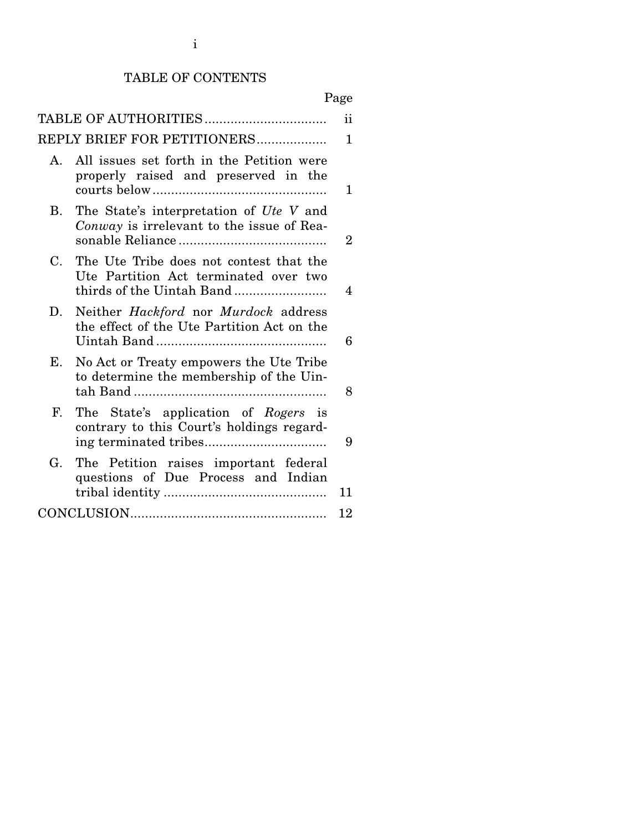# TABLE OF CONTENTS

# Page

|           | TABLE OF AUTHORITIES                                                                                          | ii             |
|-----------|---------------------------------------------------------------------------------------------------------------|----------------|
|           | REPLY BRIEF FOR PETITIONERS                                                                                   | 1              |
| A.        | All issues set forth in the Petition were<br>properly raised and preserved in the                             | 1.             |
| <b>B.</b> | The State's interpretation of Ute V and<br>Conway is irrelevant to the issue of Rea-                          | $\overline{2}$ |
| C.        | The Ute Tribe does not contest that the<br>Ute Partition Act terminated over two<br>thirds of the Uintah Band | 4              |
| D.        | Neither <i>Hackford</i> nor <i>Murdock</i> address<br>the effect of the Ute Partition Act on the              | 6              |
| Е.        | No Act or Treaty empowers the Ute Tribe<br>to determine the membership of the Uin-                            | 8              |
| F.        | The State's application of Rogers is<br>contrary to this Court's holdings regard-                             | 9              |
| G.        | The Petition raises important federal<br>questions of Due Process and Indian                                  | 11             |
|           |                                                                                                               | 12             |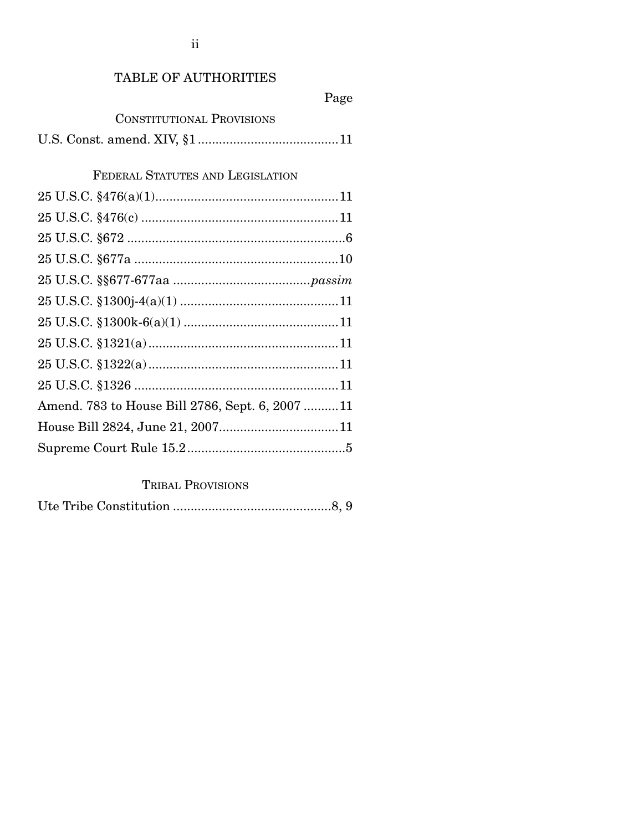# TABLE OF AUTHORITIES

# Page

# CONSTITUTIONAL PROVISIONS

U.S. Const. amend. XIV, §1 ........................................11

# FEDERAL STATUTES AND LEGISLATION

| Amend. 783 to House Bill 2786, Sept. 6, 200711 |  |
|------------------------------------------------|--|
|                                                |  |
|                                                |  |

# TRIBAL PROVISIONS

|--|--|--|--|--|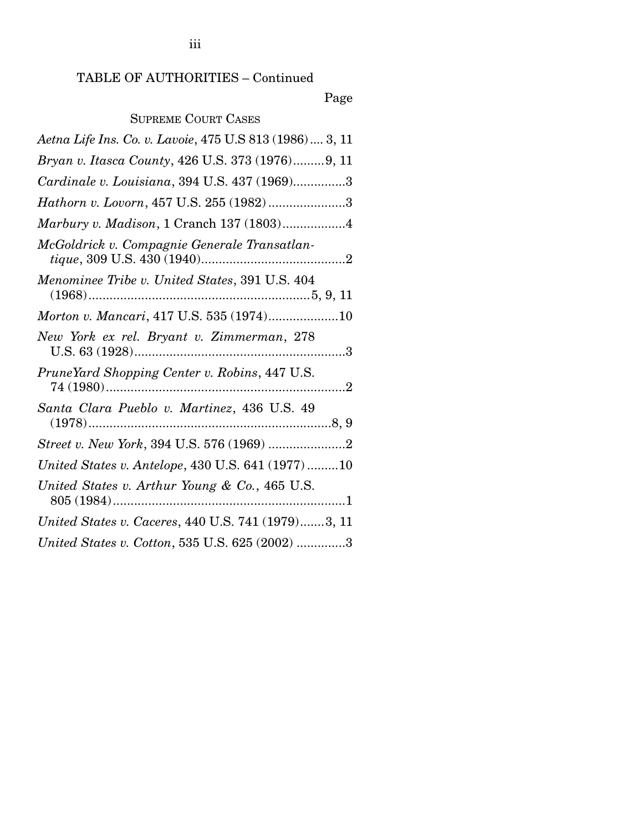Page

# SUPREME COURT CASES

| Aetna Life Ins. Co. v. Lavoie, 475 U.S 813 (1986)  3, 11 |
|----------------------------------------------------------|
| Bryan v. Itasca County, 426 U.S. 373 (1976)9, 11         |
| Cardinale v. Louisiana, 394 U.S. 437 (1969)3             |
| Hathorn v. Lovorn, 457 U.S. 255 (1982)3                  |
| Marbury v. Madison, 1 Cranch 137 (1803)4                 |
| McGoldrick v. Compagnie Generale Transatlan-             |
| Menominee Tribe v. United States, 391 U.S. 404           |
| Morton v. Mancari, 417 U.S. 535 (1974)10                 |
| New York ex rel. Bryant v. Zimmerman, 278                |
| PruneYard Shopping Center v. Robins, 447 U.S.            |
| Santa Clara Pueblo v. Martinez, 436 U.S. 49              |
|                                                          |
| United States v. Antelope, 430 U.S. 641 (1977)10         |
| United States v. Arthur Young & Co., 465 U.S.            |
| United States v. Caceres, 440 U.S. 741 (1979)3, 11       |
| United States v. Cotton, 535 U.S. 625 (2002) 3           |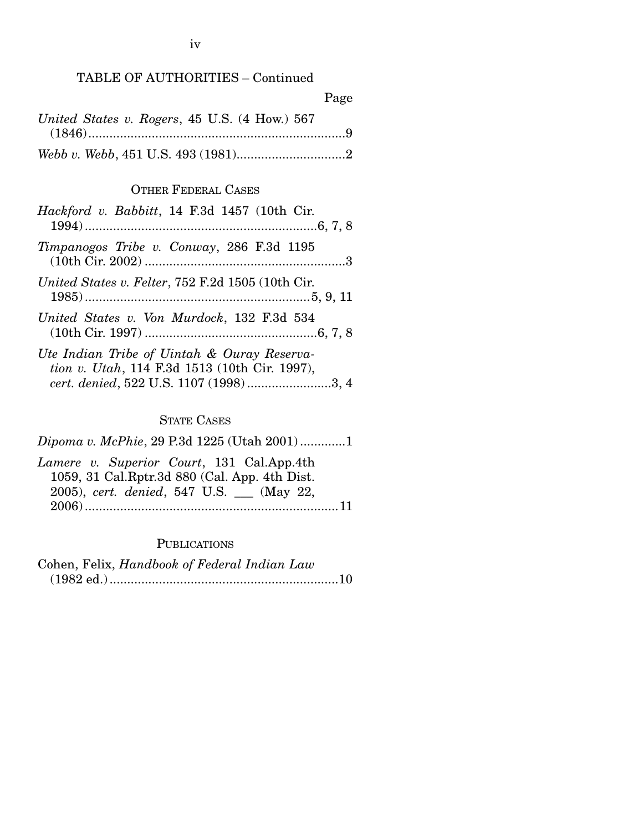### TABLE OF AUTHORITIES – Continued

|                                               | Page |
|-----------------------------------------------|------|
| United States v. Rogers, 45 U.S. (4 How.) 567 |      |
|                                               |      |
|                                               |      |

#### OTHER FEDERAL CASES

| Hackford v. Babbitt, 14 F.3d 1457 (10th Cir.                                                                                           |
|----------------------------------------------------------------------------------------------------------------------------------------|
| Timpanogos Tribe v. Conway, 286 F.3d 1195                                                                                              |
| United States v. Felter, 752 F.2d 1505 (10th Cir.                                                                                      |
| United States v. Von Murdock, 132 F.3d 534                                                                                             |
| Ute Indian Tribe of Uintah & Ouray Reserva-<br>tion v. Utah, 114 F.3d 1513 (10th Cir. 1997),<br>cert. denied, 522 U.S. 1107 (1998)3, 4 |

#### STATE CASES

*Dipoma v. McPhie*, 29 P.3d 1225 (Utah 2001) .............1 *Lamere v. Superior Court*, 131 Cal.App.4th 1059, 31 Cal.Rptr.3d 880 (Cal. App. 4th Dist. 2005), *cert. denied*, 547 U.S. \_\_\_ (May 22,

2006) ........................................................................11

#### **PUBLICATIONS**

Cohen, Felix, *Handbook of Federal Indian Law* (1982 ed.) .................................................................10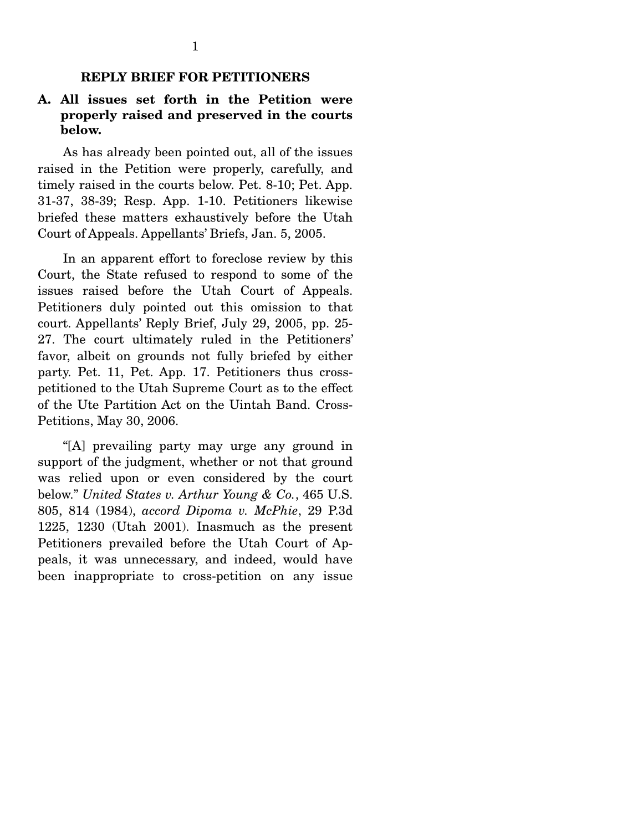# **REPLY BRIEF FOR PETITIONERS**

## **A. All issues set forth in the Petition were properly raised and preserved in the courts below.**

 As has already been pointed out, all of the issues raised in the Petition were properly, carefully, and timely raised in the courts below. Pet. 8-10; Pet. App. 31-37, 38-39; Resp. App. 1-10. Petitioners likewise briefed these matters exhaustively before the Utah Court of Appeals. Appellants' Briefs, Jan. 5, 2005.

 In an apparent effort to foreclose review by this Court, the State refused to respond to some of the issues raised before the Utah Court of Appeals. Petitioners duly pointed out this omission to that court. Appellants' Reply Brief, July 29, 2005, pp. 25- 27. The court ultimately ruled in the Petitioners' favor, albeit on grounds not fully briefed by either party. Pet. 11, Pet. App. 17. Petitioners thus crosspetitioned to the Utah Supreme Court as to the effect of the Ute Partition Act on the Uintah Band. Cross-Petitions, May 30, 2006.

 "[A] prevailing party may urge any ground in support of the judgment, whether or not that ground was relied upon or even considered by the court below." *United States v. Arthur Young & Co.*, 465 U.S. 805, 814 (1984), *accord Dipoma v. McPhie*, 29 P.3d 1225, 1230 (Utah 2001). Inasmuch as the present Petitioners prevailed before the Utah Court of Appeals, it was unnecessary, and indeed, would have been inappropriate to cross-petition on any issue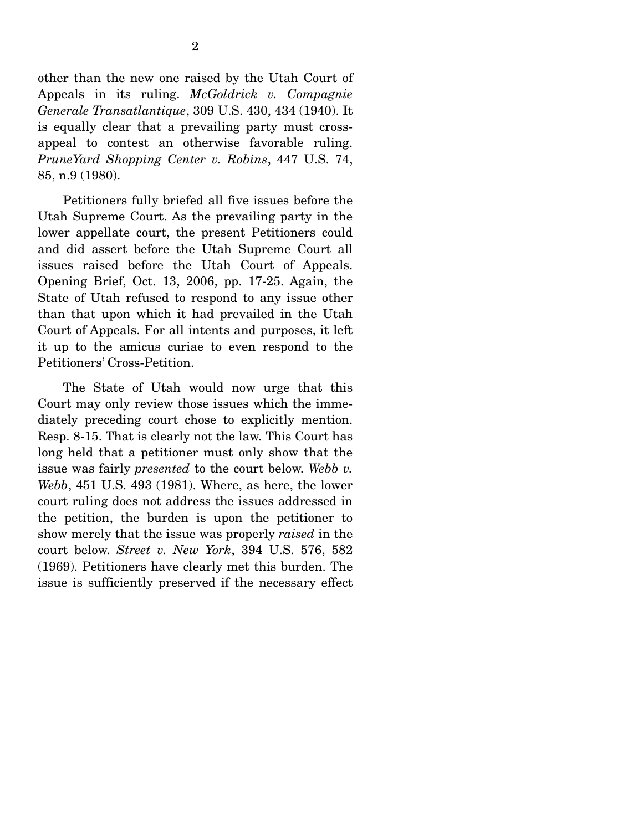other than the new one raised by the Utah Court of Appeals in its ruling. *McGoldrick v. Compagnie Generale Transatlantique*, 309 U.S. 430, 434 (1940). It is equally clear that a prevailing party must crossappeal to contest an otherwise favorable ruling. *PruneYard Shopping Center v. Robins*, 447 U.S. 74, 85, n.9 (1980).

 Petitioners fully briefed all five issues before the Utah Supreme Court. As the prevailing party in the lower appellate court, the present Petitioners could and did assert before the Utah Supreme Court all issues raised before the Utah Court of Appeals. Opening Brief, Oct. 13, 2006, pp. 17-25. Again, the State of Utah refused to respond to any issue other than that upon which it had prevailed in the Utah Court of Appeals. For all intents and purposes, it left it up to the amicus curiae to even respond to the Petitioners' Cross-Petition.

 The State of Utah would now urge that this Court may only review those issues which the immediately preceding court chose to explicitly mention. Resp. 8-15. That is clearly not the law. This Court has long held that a petitioner must only show that the issue was fairly *presented* to the court below. *Webb v. Webb*, 451 U.S. 493 (1981). Where, as here, the lower court ruling does not address the issues addressed in the petition, the burden is upon the petitioner to show merely that the issue was properly *raised* in the court below. *Street v. New York*, 394 U.S. 576, 582 (1969). Petitioners have clearly met this burden. The issue is sufficiently preserved if the necessary effect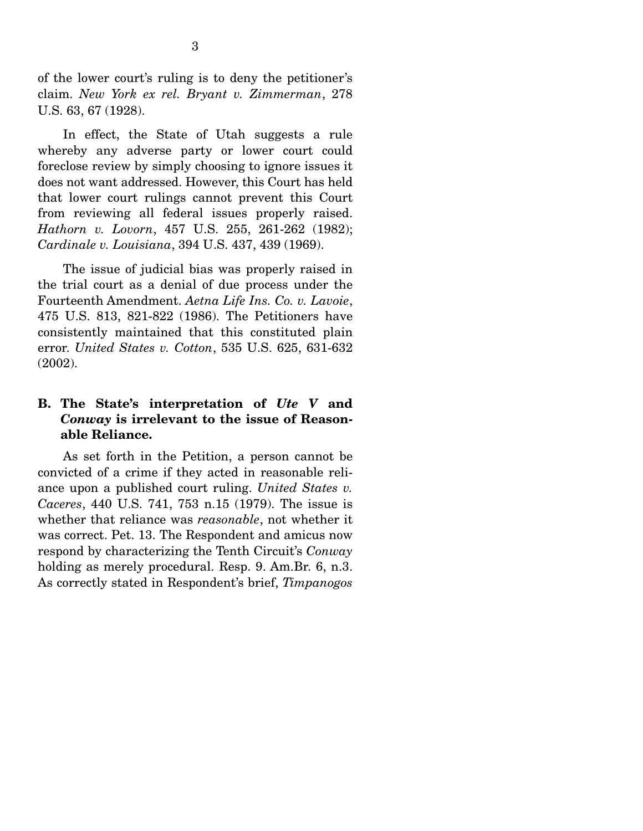of the lower court's ruling is to deny the petitioner's claim. *New York ex rel. Bryant v. Zimmerman*, 278 U.S. 63, 67 (1928).

 In effect, the State of Utah suggests a rule whereby any adverse party or lower court could foreclose review by simply choosing to ignore issues it does not want addressed. However, this Court has held that lower court rulings cannot prevent this Court from reviewing all federal issues properly raised. *Hathorn v. Lovorn*, 457 U.S. 255, 261-262 (1982); *Cardinale v. Louisiana*, 394 U.S. 437, 439 (1969).

 The issue of judicial bias was properly raised in the trial court as a denial of due process under the Fourteenth Amendment. *Aetna Life Ins. Co. v. Lavoie*, 475 U.S. 813, 821-822 (1986). The Petitioners have consistently maintained that this constituted plain error. *United States v. Cotton*, 535 U.S. 625, 631-632 (2002).

## **B. The State's interpretation of** *Ute V* **and**  *Conway* **is irrelevant to the issue of Reasonable Reliance.**

 As set forth in the Petition, a person cannot be convicted of a crime if they acted in reasonable reliance upon a published court ruling. *United States v. Caceres*, 440 U.S. 741, 753 n.15 (1979). The issue is whether that reliance was *reasonable*, not whether it was correct. Pet. 13. The Respondent and amicus now respond by characterizing the Tenth Circuit's *Conway* holding as merely procedural. Resp. 9. Am.Br. 6, n.3. As correctly stated in Respondent's brief, *Timpanogos*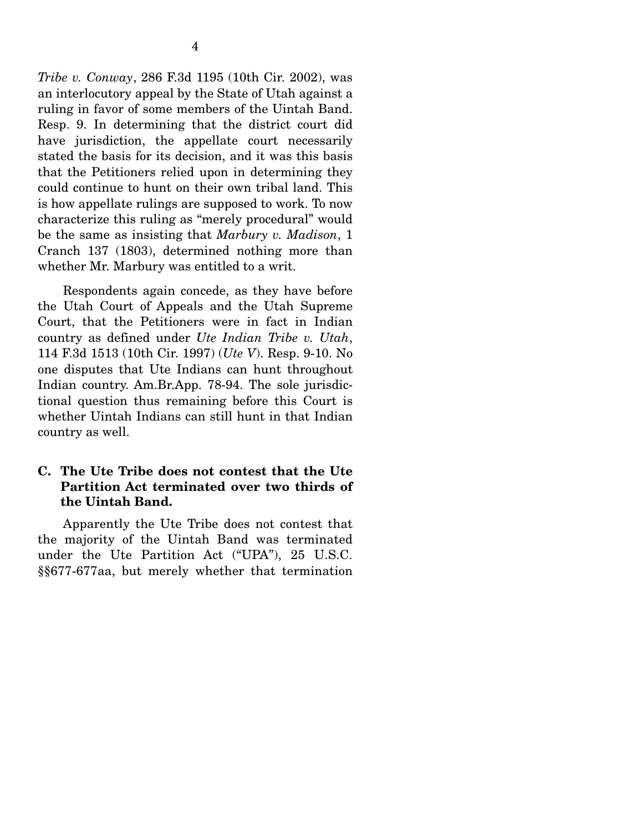4

an interlocutory appeal by the State of Utah against a ruling in favor of some members of the Uintah Band. Resp. 9. In determining that the district court did have jurisdiction, the appellate court necessarily stated the basis for its decision, and it was this basis that the Petitioners relied upon in determining they could continue to hunt on their own tribal land. This is how appellate rulings are supposed to work. To now characterize this ruling as "merely procedural" would be the same as insisting that *Marbury v. Madison*, 1 Cranch 137 (1803), determined nothing more than whether Mr. Marbury was entitled to a writ.

 Respondents again concede, as they have before the Utah Court of Appeals and the Utah Supreme Court, that the Petitioners were in fact in Indian country as defined under *Ute Indian Tribe v. Utah*, 114 F.3d 1513 (10th Cir. 1997) (*Ute V*). Resp. 9-10. No one disputes that Ute Indians can hunt throughout Indian country. Am.Br.App. 78-94. The sole jurisdictional question thus remaining before this Court is whether Uintah Indians can still hunt in that Indian country as well.

# **C. The Ute Tribe does not contest that the Ute Partition Act terminated over two thirds of the Uintah Band.**

 Apparently the Ute Tribe does not contest that the majority of the Uintah Band was terminated under the Ute Partition Act ("UPA"), 25 U.S.C. §§677-677aa, but merely whether that termination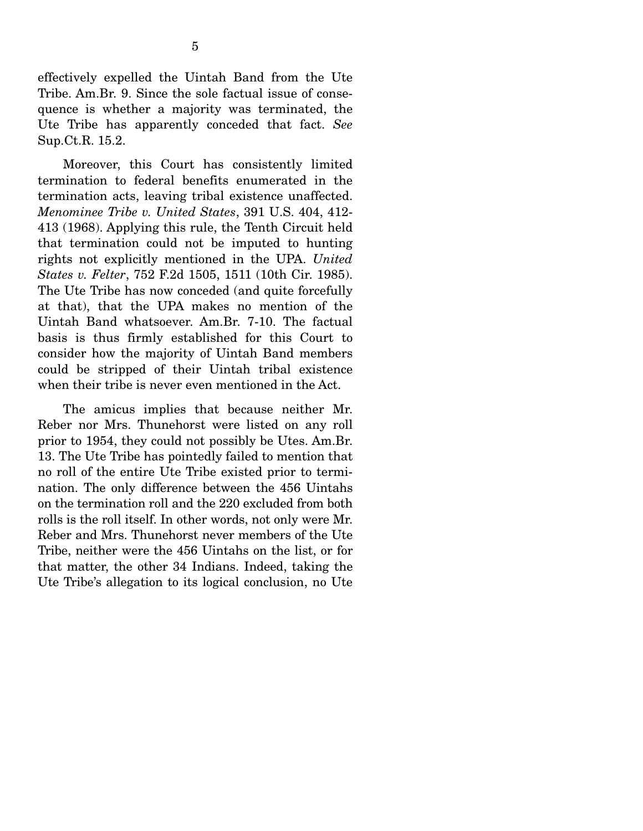effectively expelled the Uintah Band from the Ute Tribe. Am.Br. 9. Since the sole factual issue of consequence is whether a majority was terminated, the Ute Tribe has apparently conceded that fact. *See* Sup.Ct.R. 15.2.

 Moreover, this Court has consistently limited termination to federal benefits enumerated in the termination acts, leaving tribal existence unaffected. *Menominee Tribe v. United States*, 391 U.S. 404, 412- 413 (1968). Applying this rule, the Tenth Circuit held that termination could not be imputed to hunting rights not explicitly mentioned in the UPA. *United States v. Felter*, 752 F.2d 1505, 1511 (10th Cir. 1985). The Ute Tribe has now conceded (and quite forcefully at that), that the UPA makes no mention of the Uintah Band whatsoever. Am.Br. 7-10. The factual basis is thus firmly established for this Court to consider how the majority of Uintah Band members could be stripped of their Uintah tribal existence when their tribe is never even mentioned in the Act.

 The amicus implies that because neither Mr. Reber nor Mrs. Thunehorst were listed on any roll prior to 1954, they could not possibly be Utes. Am.Br. 13. The Ute Tribe has pointedly failed to mention that no roll of the entire Ute Tribe existed prior to termination. The only difference between the 456 Uintahs on the termination roll and the 220 excluded from both rolls is the roll itself. In other words, not only were Mr. Reber and Mrs. Thunehorst never members of the Ute Tribe, neither were the 456 Uintahs on the list, or for that matter, the other 34 Indians. Indeed, taking the Ute Tribe's allegation to its logical conclusion, no Ute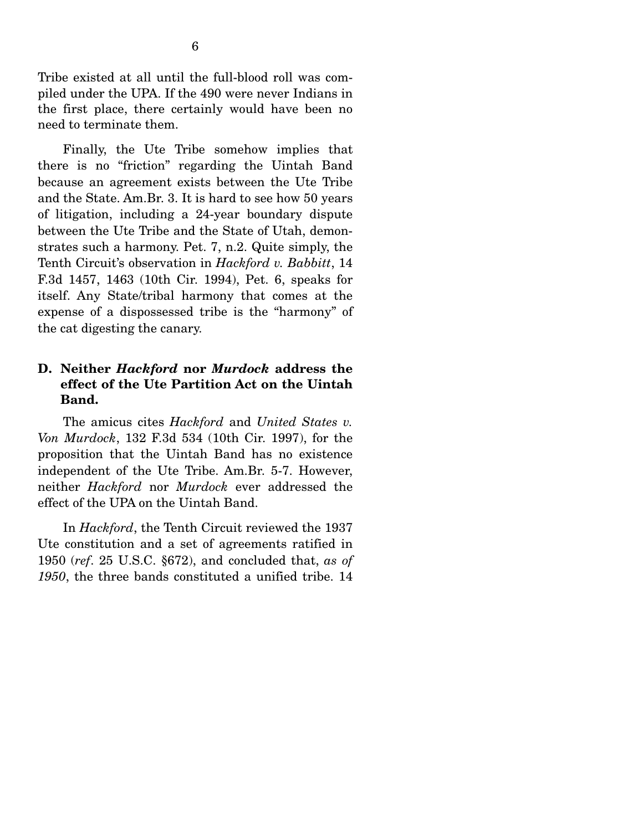Tribe existed at all until the full-blood roll was compiled under the UPA. If the 490 were never Indians in the first place, there certainly would have been no need to terminate them.

 Finally, the Ute Tribe somehow implies that there is no "friction" regarding the Uintah Band because an agreement exists between the Ute Tribe and the State. Am.Br. 3. It is hard to see how 50 years of litigation, including a 24-year boundary dispute between the Ute Tribe and the State of Utah, demonstrates such a harmony. Pet. 7, n.2. Quite simply, the Tenth Circuit's observation in *Hackford v. Babbitt*, 14 F.3d 1457, 1463 (10th Cir. 1994), Pet. 6, speaks for itself. Any State/tribal harmony that comes at the expense of a dispossessed tribe is the "harmony" of the cat digesting the canary.

## **D. Neither** *Hackford* **nor** *Murdock* **address the effect of the Ute Partition Act on the Uintah Band.**

 The amicus cites *Hackford* and *United States v. Von Murdock*, 132 F.3d 534 (10th Cir. 1997), for the proposition that the Uintah Band has no existence independent of the Ute Tribe. Am.Br. 5-7. However, neither *Hackford* nor *Murdock* ever addressed the effect of the UPA on the Uintah Band.

 In *Hackford*, the Tenth Circuit reviewed the 1937 Ute constitution and a set of agreements ratified in 1950 (*ref*. 25 U.S.C. §672), and concluded that, *as of 1950*, the three bands constituted a unified tribe. 14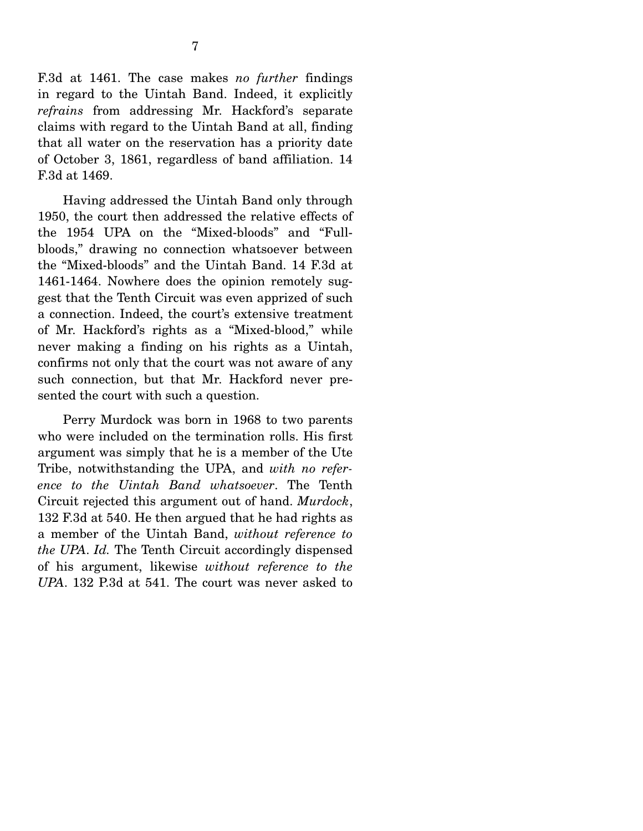F.3d at 1461. The case makes *no further* findings in regard to the Uintah Band. Indeed, it explicitly *refrains* from addressing Mr. Hackford's separate claims with regard to the Uintah Band at all, finding that all water on the reservation has a priority date of October 3, 1861, regardless of band affiliation. 14 F.3d at 1469.

 Having addressed the Uintah Band only through 1950, the court then addressed the relative effects of the 1954 UPA on the "Mixed-bloods" and "Fullbloods," drawing no connection whatsoever between the "Mixed-bloods" and the Uintah Band. 14 F.3d at 1461-1464. Nowhere does the opinion remotely suggest that the Tenth Circuit was even apprized of such a connection. Indeed, the court's extensive treatment of Mr. Hackford's rights as a "Mixed-blood," while never making a finding on his rights as a Uintah, confirms not only that the court was not aware of any such connection, but that Mr. Hackford never presented the court with such a question.

 Perry Murdock was born in 1968 to two parents who were included on the termination rolls. His first argument was simply that he is a member of the Ute Tribe, notwithstanding the UPA, and *with no reference to the Uintah Band whatsoever*. The Tenth Circuit rejected this argument out of hand. *Murdock*, 132 F.3d at 540. He then argued that he had rights as a member of the Uintah Band, *without reference to the UPA*. *Id.* The Tenth Circuit accordingly dispensed of his argument, likewise *without reference to the UPA*. 132 P.3d at 541. The court was never asked to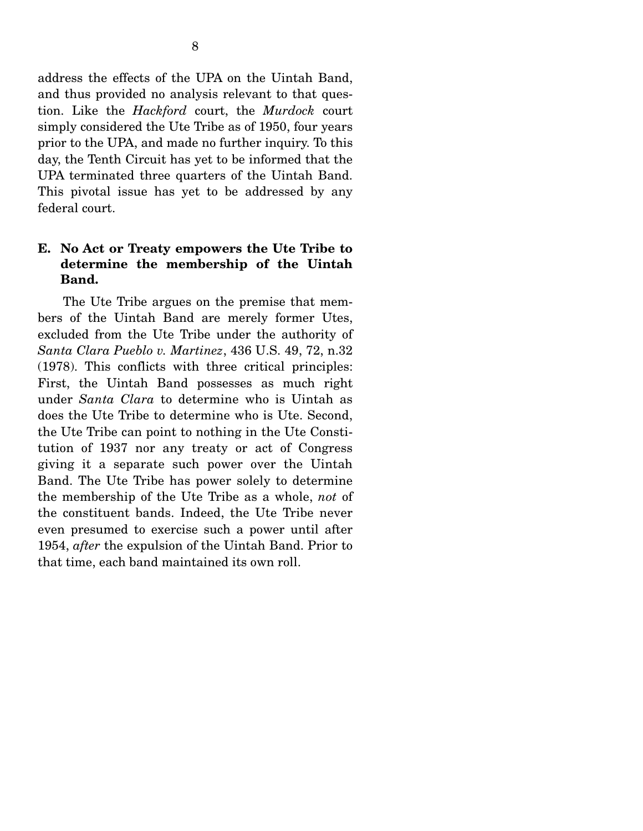address the effects of the UPA on the Uintah Band, and thus provided no analysis relevant to that question. Like the *Hackford* court, the *Murdock* court simply considered the Ute Tribe as of 1950, four years prior to the UPA, and made no further inquiry. To this day, the Tenth Circuit has yet to be informed that the UPA terminated three quarters of the Uintah Band. This pivotal issue has yet to be addressed by any federal court.

# **E. No Act or Treaty empowers the Ute Tribe to determine the membership of the Uintah Band.**

 The Ute Tribe argues on the premise that members of the Uintah Band are merely former Utes, excluded from the Ute Tribe under the authority of *Santa Clara Pueblo v. Martinez*, 436 U.S. 49, 72, n.32 (1978). This conflicts with three critical principles: First, the Uintah Band possesses as much right under *Santa Clara* to determine who is Uintah as does the Ute Tribe to determine who is Ute. Second, the Ute Tribe can point to nothing in the Ute Constitution of 1937 nor any treaty or act of Congress giving it a separate such power over the Uintah Band. The Ute Tribe has power solely to determine the membership of the Ute Tribe as a whole, *not* of the constituent bands. Indeed, the Ute Tribe never even presumed to exercise such a power until after 1954, *after* the expulsion of the Uintah Band. Prior to that time, each band maintained its own roll.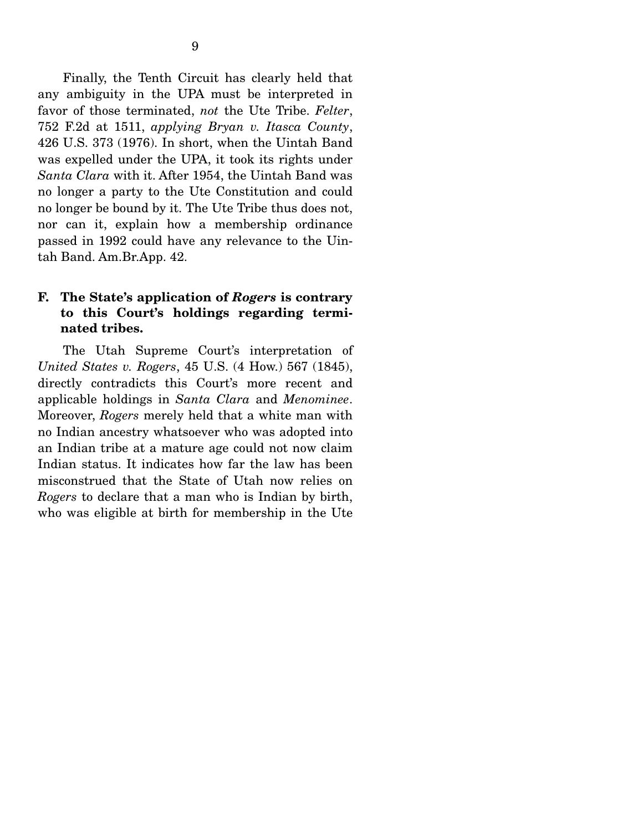Finally, the Tenth Circuit has clearly held that any ambiguity in the UPA must be interpreted in favor of those terminated, *not* the Ute Tribe. *Felter*, 752 F.2d at 1511, *applying Bryan v. Itasca County*, 426 U.S. 373 (1976). In short, when the Uintah Band was expelled under the UPA, it took its rights under *Santa Clara* with it. After 1954, the Uintah Band was no longer a party to the Ute Constitution and could no longer be bound by it. The Ute Tribe thus does not, nor can it, explain how a membership ordinance passed in 1992 could have any relevance to the Uintah Band. Am.Br.App. 42.

## **F. The State's application of** *Rogers* **is contrary to this Court's holdings regarding terminated tribes.**

 The Utah Supreme Court's interpretation of *United States v. Rogers*, 45 U.S. (4 How.) 567 (1845), directly contradicts this Court's more recent and applicable holdings in *Santa Clara* and *Menominee*. Moreover, *Rogers* merely held that a white man with no Indian ancestry whatsoever who was adopted into an Indian tribe at a mature age could not now claim Indian status. It indicates how far the law has been misconstrued that the State of Utah now relies on *Rogers* to declare that a man who is Indian by birth, who was eligible at birth for membership in the Ute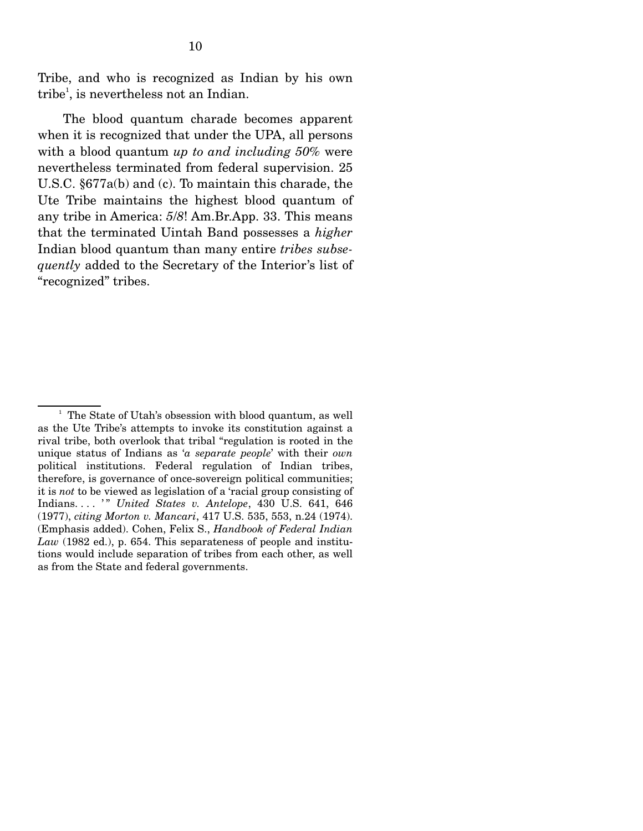Tribe, and who is recognized as Indian by his own tribe<sup>1</sup>, is nevertheless not an Indian.

 The blood quantum charade becomes apparent when it is recognized that under the UPA, all persons with a blood quantum *up to and including 50%* were nevertheless terminated from federal supervision. 25 U.S.C. §677a(b) and (c). To maintain this charade, the Ute Tribe maintains the highest blood quantum of any tribe in America: *5*/*8*! Am.Br.App. 33. This means that the terminated Uintah Band possesses a *higher* Indian blood quantum than many entire *tribes subsequently* added to the Secretary of the Interior's list of "recognized" tribes.

<sup>&</sup>lt;sup>1</sup> The State of Utah's obsession with blood quantum, as well as the Ute Tribe's attempts to invoke its constitution against a rival tribe, both overlook that tribal "regulation is rooted in the unique status of Indians as '*a separate people*' with their *own* political institutions. Federal regulation of Indian tribes, therefore, is governance of once-sovereign political communities; it is *not* to be viewed as legislation of a 'racial group consisting of Indians. . . . ' " *United States v. Antelope*, 430 U.S. 641, 646 (1977), *citing Morton v. Mancari*, 417 U.S. 535, 553, n.24 (1974). (Emphasis added). Cohen, Felix S., *Handbook of Federal Indian Law* (1982 ed.), p. 654. This separateness of people and institutions would include separation of tribes from each other, as well as from the State and federal governments.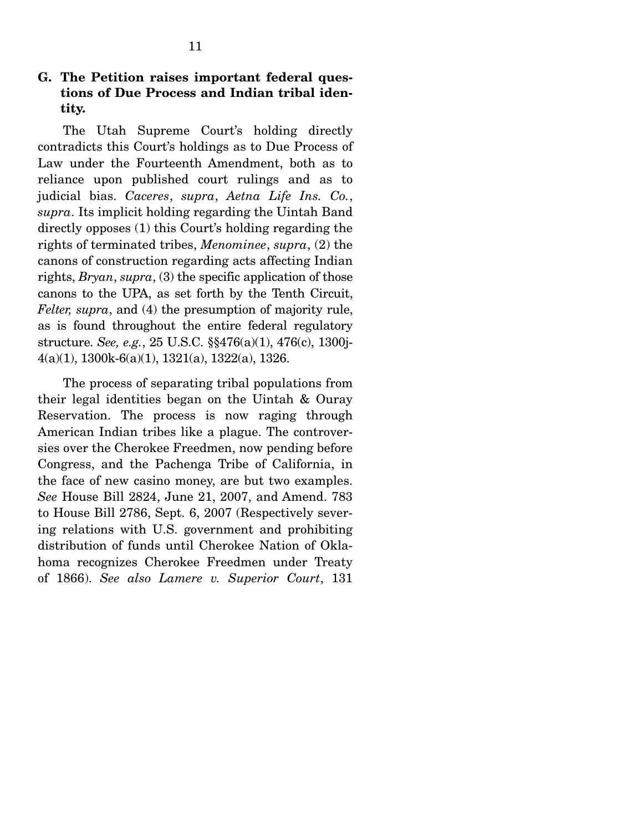## **G. The Petition raises important federal questions of Due Process and Indian tribal identity.**

 The Utah Supreme Court's holding directly contradicts this Court's holdings as to Due Process of Law under the Fourteenth Amendment, both as to reliance upon published court rulings and as to judicial bias. *Caceres*, *supra*, *Aetna Life Ins. Co.*, *supra*. Its implicit holding regarding the Uintah Band directly opposes (1) this Court's holding regarding the rights of terminated tribes, *Menominee*, *supra*, (2) the canons of construction regarding acts affecting Indian rights, *Bryan*, *supra*, (3) the specific application of those canons to the UPA, as set forth by the Tenth Circuit, *Felter, supra*, and (4) the presumption of majority rule, as is found throughout the entire federal regulatory structure. *See, e.g.*, 25 U.S.C. §§476(a)(1), 476(c), 1300j-4(a)(1), 1300k-6(a)(1), 1321(a), 1322(a), 1326.

 The process of separating tribal populations from their legal identities began on the Uintah & Ouray Reservation. The process is now raging through American Indian tribes like a plague. The controversies over the Cherokee Freedmen, now pending before Congress, and the Pachenga Tribe of California, in the face of new casino money, are but two examples. *See* House Bill 2824, June 21, 2007, and Amend. 783 to House Bill 2786, Sept. 6, 2007 (Respectively severing relations with U.S. government and prohibiting distribution of funds until Cherokee Nation of Oklahoma recognizes Cherokee Freedmen under Treaty of 1866). *See also Lamere v. Superior Court*, 131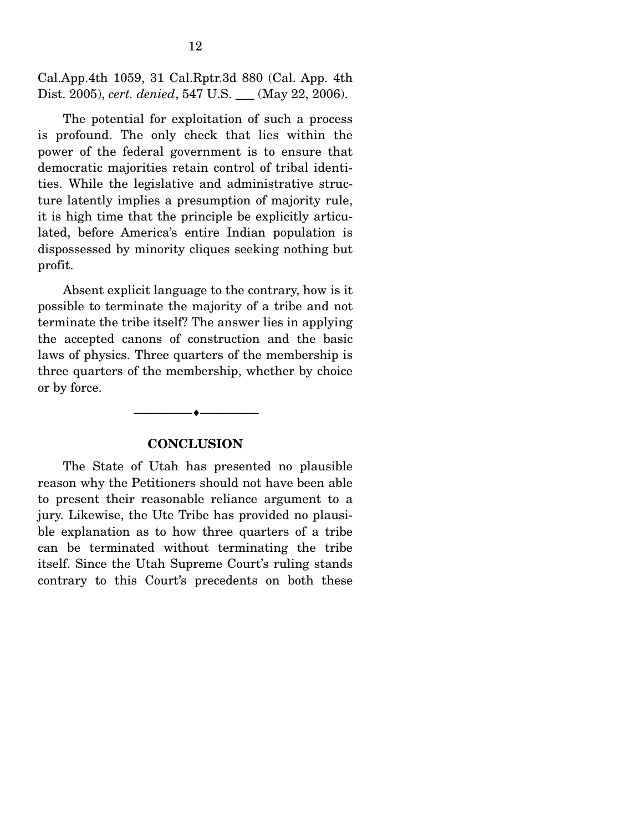Cal.App.4th 1059, 31 Cal.Rptr.3d 880 (Cal. App. 4th Dist. 2005), *cert. denied*, 547 U.S. \_\_\_ (May 22, 2006).

 The potential for exploitation of such a process is profound. The only check that lies within the power of the federal government is to ensure that democratic majorities retain control of tribal identities. While the legislative and administrative structure latently implies a presumption of majority rule, it is high time that the principle be explicitly articulated, before America's entire Indian population is dispossessed by minority cliques seeking nothing but profit.

 Absent explicit language to the contrary, how is it possible to terminate the majority of a tribe and not terminate the tribe itself? The answer lies in applying the accepted canons of construction and the basic laws of physics. Three quarters of the membership is three quarters of the membership, whether by choice or by force.

#### **CONCLUSION**

 $\overbrace{\hspace{2.5cm}}$   $\overbrace{\hspace{2.5cm}}$ 

 The State of Utah has presented no plausible reason why the Petitioners should not have been able to present their reasonable reliance argument to a jury. Likewise, the Ute Tribe has provided no plausible explanation as to how three quarters of a tribe can be terminated without terminating the tribe itself. Since the Utah Supreme Court's ruling stands contrary to this Court's precedents on both these